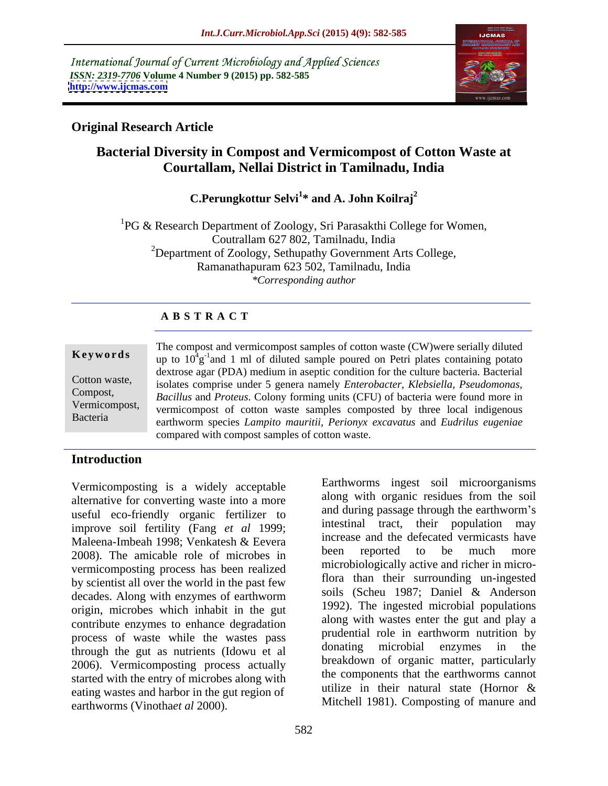International Journal of Current Microbiology and Applied Sciences *ISSN: 2319-7706* **Volume 4 Number 9 (2015) pp. 582-585 <http://www.ijcmas.com>**



## **Original Research Article**

# **Bacterial Diversity in Compost and Vermicompost of Cotton Waste at Courtallam, Nellai District in Tamilnadu, India**

## C.Perungkottur Selvi<sup>1\*</sup> and A. John Koilraj<sup>2</sup> **\* and A. John Koilraj<sup>2</sup>**

<sup>1</sup>PG & Research Department of Zoology, Sri Parasakthi College for Women, Coutrallam 627 802, Tamilnadu, India <sup>2</sup>Department of Zoology, Sethupathy Government Arts College, Ramanathapuram 623 502, Tamilnadu, India *\*Corresponding author*

## **A B S T R A C T**

Bacteria

The compost and vermicompost samples of cotton waste (CW)were serially diluted **Keywords** up to  $10^4$ g<sup>-1</sup> and 1 ml of diluted sample poured on Petri plates containing potato dextrose agar (PDA) medium in aseptic condition for the culture bacteria. Bacterial isolates comprise under 5 genera namely *Enterobacter, Klebsiella, Pseudomonas,* Cotton waste, *Bacillus* and *Proteus*. Colony forming units (CFU) of bacteria were found more in Compost, Vermicompost, vermicompost of cotton waste samples composted by three local indigenous earthworm species *Lampito mauritii, Perionyx excavatus* and *Eudrilus eugeniae*  compared with compost samples of cotton waste.

## **Introduction**

Vermicomposting is a widely acceptable alternative for converting waste into a more useful eco-friendly organic fertilizer to improve soil fertility (Fang *et al* 1999; Maleena-Imbeah 1998; Venkatesh & Eevera 2008). The amicable role of microbes in been reported to be much more vermicomposting process has been realized by scientist all over the world in the past few decades. Along with enzymes of earthworm origin, microbes which inhabit in the gut contribute enzymes to enhance degradation process of waste while the wastes pass<br>through the gut as puttigate (Idous) at all the donating microbial enzymes in the through the gut as nutrients (Idowu et al 2006). Vermicomposting process actually started with the entry of microbes along with<br>
the components that the earthworms cannot<br>
utilize in their natural state (Hornor & eating wastes and harbor in the gut region of Vermicomposting is a widely acceptable<br>
alternative for converting waste into a more<br>
along with organic residues from the soil<br>
improve soil fertility (Fang *et al 1999*;<br>
imtestinal tract, their population may<br>
improve s

along with organic residues from the soil and during passage through the earthworm's intestinal tract, their population may increase and the defecated vermicasts have been reported to be much more microbiologically active and richer in microflora than their surrounding un-ingested soils (Scheu 1987; Daniel & Anderson 1992). The ingested microbial populations along with wastes enter the gut and play a prudential role in earthworm nutrition by donating microbial enzymes in the breakdown of organic matter, particularly the components that the earthworms cannot utilize in their natural state (Hornor & Mitchell 1981). Composting of manure and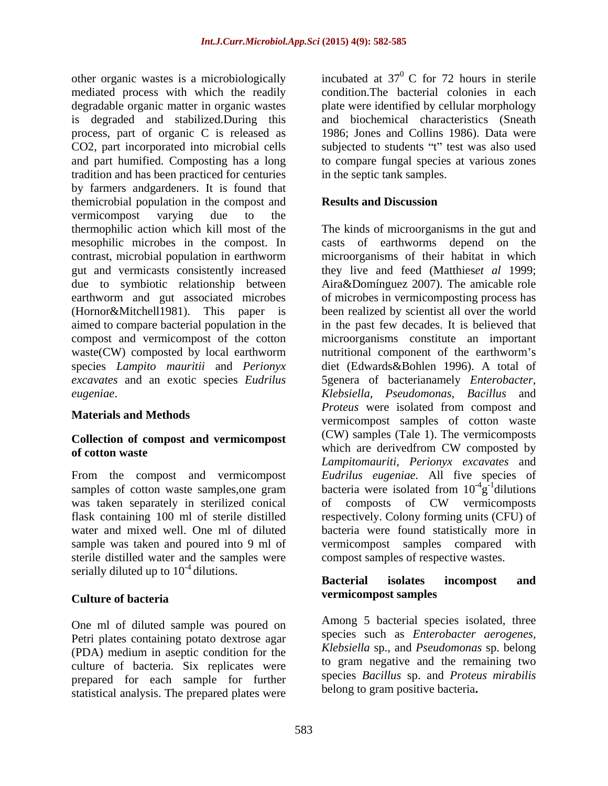other organic wastes is a microbiologically mediated process with which the readily degradable organic matter in organic wastes have plate were identified by cellular morphology is degraded and stabilized.During this and biochemical characteristics (Sneath process, part of organic C is released as CO2, part incorporated into microbial cells subjected to students "t" test was also used and part humified. Composting has a long to compare fungal species at various zones tradition and has been practiced for centuries by farmers andgardeners. It is found that themicrobial population in the compost and **Results and Discussion** vermicompost varying due to the thermophilic action which kill most of the The kinds of microorganisms in the gut and mesophilic microbes in the compost. In casts of earthworms depend on the contrast, microbial population in earthworm microorganisms of their habitat in which gut and vermicasts consistently increased they live and feed (Matthies*et al* 1999; due to symbiotic relationship between Aira&Domínguez 2007). The amicable role earthworm and gut associated microbes of microbes in vermicomposting process has (Hornor&Mitchell1981). This paper is been realized by scientist all over the world aimed to compare bacterial population in the in the past few decades. It is believed that compost and vermicompost of thecotton microorganisms constitute an important waste(CW) composted by local earthworm a nutritional component of the earthworm's species *Lampito mauritii* and *Perionyx*  diet (Edwards&Bohlen 1996). A total of *excavates* and an exotic species *Eudrilus*  5genera of bacterianamely *Enterobacter,* 

# **Collection of compost and vermicompost**<br>which are derived from CW composted by<br>of **contents**

was taken separately in sterilized conical of composts of CW vermicomposts sample was taken and poured into 9 ml of vermicompost samples compared with sterile distilled water and the samples were serially diluted up to  $10^{-4}$  dilutions.<br>**Bacterial** isolates incompost and

One ml of diluted sample was poured on Petri plates containing potato dextrose agar (PDA) medium in aseptic condition for the culture of bacteria. Six replicates were prepared for each sample for further statistical analysis. The prepared plates were

incubated at  $37^{\circ}$  C for 72 hours in sterile  $0 \text{ C}$  for 72 hours in sterile condition.The bacterial colonies in each 1986; Jones and Collins 1986). Data were in the septic tank samples.

## **Results and Discussion**

*eugeniae*. *Klebsiella, Pseudomonas, Bacillus* and **Materials and Methods**<br>
vermicompost samples of cotton waste **of cotton waste of cotton waste of composed** by **of composed** by From the compost and vermicompost *Eudrilus eugeniae.* All five species of samples of cotton waste samples, one gram bacteria were isolated from  $10^{-4}$ g<sup>-1</sup> dilutions flask containing 100 ml of sterile distilled respectively. Colony forming units (CFU) of water and mixed well. One ml of diluted bacteria were found statistically more in *Proteus* were isolated from compost and (CW) samples (Tale 1). The vermicomposts which are derivedfrom CW composted by *Lampitomauriti, Perionyx excavates* and  $-4\sigma$ -ldibione  $g^{-1}$ dilutions  $^{-1}$ dilutions dilutions and the state of the state of the state of the state of the state of the state of the state of the state of the state of the state of the state of the state of the state of the state of the state of the state of of composts of CW vermicomposts vermicompost samples compared compost samples of respective wastes.

## **Culture of bacteria Bacterial isolates incompost and vermicompost samples**

Among 5 bacterial species isolated, three species such as *Enterobacter aerogenes, Klebsiella* sp., and *Pseudomonas* sp. belong to gram negative and the remaining two species *Bacillus* sp. and *Proteus mirabilis* belong to gram positive bacteria**.**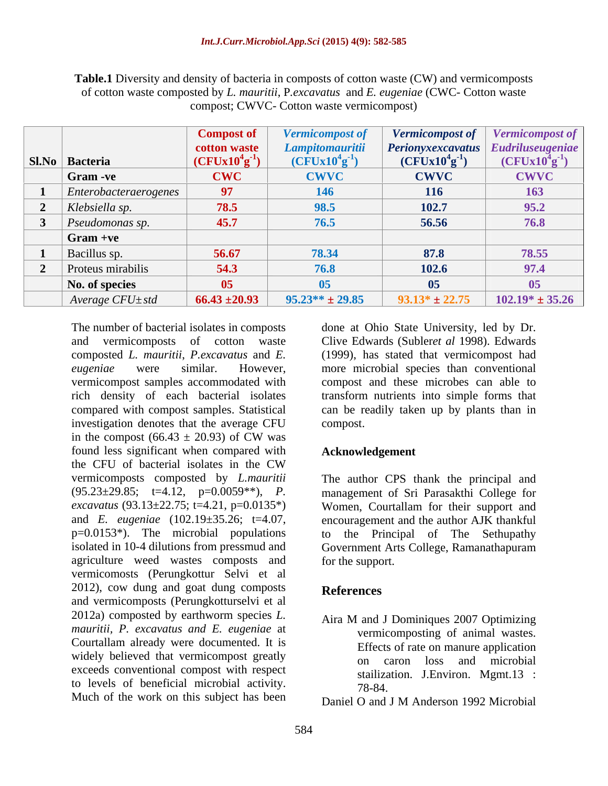|                               | Compost of           | <b>Vermicompost of</b> | <b>Vermicompost of</b>               | <b>Vermicompost of</b> |
|-------------------------------|----------------------|------------------------|--------------------------------------|------------------------|
|                               | cotton waste         |                        | Perionyxexcavatus   Eudriluseugeniae |                        |
| Sl.No   Bacteria              | $(CFUx10^{4}g^{-1})$ | $(CFUx10^{4}g^{-1})$   | $(CFUx10^{4}g^{-1})$                 | $(CFUx10^4g)$          |
| $\vert$ Gram -ve              | <b>CWC</b>           | <b>CWVC</b>            | <b>CWVC</b>                          | <b>CWVC</b>            |
| $\vert$ Enterobacteraerogenes | 97                   | <b>146</b>             | <b>116</b>                           |                        |
| $\vert$ Klebsiella sp.        | 78.5                 | 98.5                   | 102.7                                | 95.2                   |
| $\vert$ Pseudomonas sp.       | 45.7                 | 76.5                   | 56.56                                | 76.8                   |
| $\int$ Gram +ve               |                      |                        |                                      |                        |
| $\vert$ Bacillus sp.          | 56.67                | 78.34                  | 87.8                                 | 78.55                  |
| Proteus mirabilis             | 54.3                 |                        | 102.6                                | 97.4                   |
| No. of species                | 05 <sub>o</sub>      |                        | 05                                   |                        |
| Average CFU±std               | $66.43 \pm 20.93$    | $95.23** \pm 29.85$    | $93.13* \pm 22.75$                   | $102.19* \pm 35.26$    |

**Table.1** Diversity and density of bacteria in composts of cotton waste (CW) and vermicomposts of cotton waste composted by *L. mauritii*, P*.excavatus* and *E. eugeniae* (CWC- Cotton waste compost; CWVC- Cotton waste vermicompost)

and vermicomposts of cotton waste Clive Edwards (Subler*et al* 1998). Edwards composted *L. mauritii*, *P.excavatus* and *E.*  (1999), has stated that vermicompost had *eugeniae* were similar. However, more microbial species than conventional vermicompost samples accommodated with compost and these microbes can able to rich density of each bacterial isolates compared with compost samples. Statistical can be readily taken up by plants than in investigation denotes that the average CFU in the compost  $(66.43 \pm 20.93)$  of CW was found less significant when compared with the CFU of bacterial isolates in the CW vermicomposts composted by *L.mauritii* The author CPS thank the principal and (95.23±29.85; t=4.12, p=0.0059\*\*), *P.*  management of Sri Parasakthi College for *excavatus* (93.13±22.75; t=4.21, p=0.0135\*) Women, Courtallam for their support and and *E. eugeniae* (102.19±35.26; t=4.07, encouragement and the author AJK thankful p=0.0153\*). The microbial populations to the Principal of The Sethupathy isolated in 10-4 dilutions from pressmud and Government Arts College, Ramanathapuram agriculture weed wastes composts and vermicomosts (Perungkottur Selvi et al 2012), cow dung and goat dung composts References and vermicomposts (Perungkotturselvi et al 2012a) composted by earthworm species *L. mauritii, P. excavatus and E. eugeniae* at Courtallam already were documented. It is widely believed that vermicompost greatly on exceeds conventional compost with respect to levels of beneficial microbial activity.  $\frac{5441126}{78-84}$ Much of the work on this subject has been  $\sum_{n=1}^{\infty}$  O and J M Anderson 1992 Microbial

The number of bacterial isolates in composts done at Ohio State University, led by Dr. transform nutrients into simple forms that compost.

## **Acknowledgement**

for the support.

## **References**

Aira M and J Dominiques 2007 Optimizing vermicomposting of animal wastes. Effects of rate on manure application on caron loss and microbial stailization. J.Environ. Mgmt.13 : 78-84.

Daniel O and J M Anderson 1992 Microbial